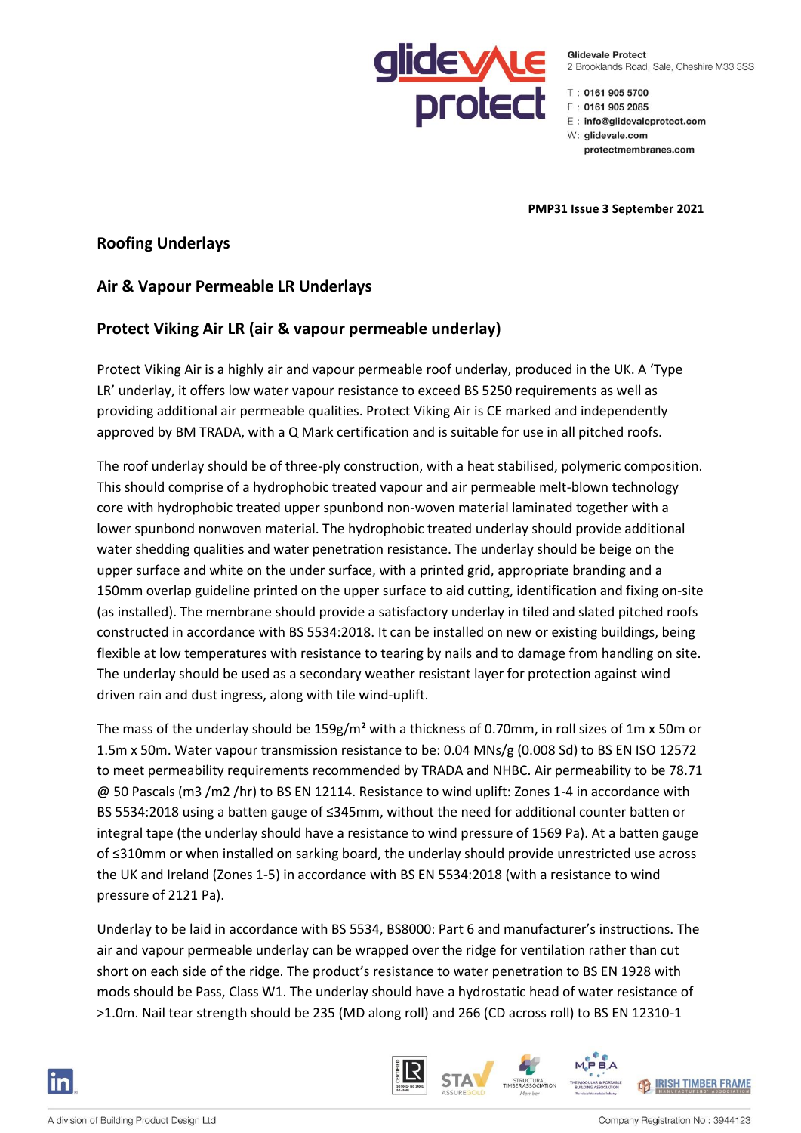

**Glidevale Protect** 2 Brooklands Road, Sale, Cheshire M33 3SS

 $T: 0161 905 5700$ 

- F: 0161 905 2085
- E: info@glidevaleprotect.com
- W: glidevale.com

protectmembranes.com

**PMP31 Issue 3 September 2021**

### **Roofing Underlays**

# **Air & Vapour Permeable LR Underlays**

## **Protect Viking Air LR (air & vapour permeable underlay)**

Protect Viking Air is a highly air and vapour permeable roof underlay, produced in the UK. A 'Type LR' underlay, it offers low water vapour resistance to exceed BS 5250 requirements as well as providing additional air permeable qualities. Protect Viking Air is CE marked and independently approved by BM TRADA, with a Q Mark certification and is suitable for use in all pitched roofs.

The roof underlay should be of three-ply construction, with a heat stabilised, polymeric composition. This should comprise of a hydrophobic treated vapour and air permeable melt-blown technology core with hydrophobic treated upper spunbond non-woven material laminated together with a lower spunbond nonwoven material. The hydrophobic treated underlay should provide additional water shedding qualities and water penetration resistance. The underlay should be beige on the upper surface and white on the under surface, with a printed grid, appropriate branding and a 150mm overlap guideline printed on the upper surface to aid cutting, identification and fixing on-site (as installed). The membrane should provide a satisfactory underlay in tiled and slated pitched roofs constructed in accordance with BS 5534:2018. It can be installed on new or existing buildings, being flexible at low temperatures with resistance to tearing by nails and to damage from handling on site. The underlay should be used as a secondary weather resistant layer for protection against wind driven rain and dust ingress, along with tile wind-uplift.

The mass of the underlay should be 159g/m² with a thickness of 0.70mm, in roll sizes of 1m x 50m or 1.5m x 50m. Water vapour transmission resistance to be: 0.04 MNs/g (0.008 Sd) to BS EN ISO 12572 to meet permeability requirements recommended by TRADA and NHBC. Air permeability to be 78.71 @ 50 Pascals (m3 /m2 /hr) to BS EN 12114. Resistance to wind uplift: Zones 1-4 in accordance with BS 5534:2018 using a batten gauge of ≤345mm, without the need for additional counter batten or integral tape (the underlay should have a resistance to wind pressure of 1569 Pa). At a batten gauge of ≤310mm or when installed on sarking board, the underlay should provide unrestricted use across the UK and Ireland (Zones 1-5) in accordance with BS EN 5534:2018 (with a resistance to wind pressure of 2121 Pa).

Underlay to be laid in accordance with BS 5534, BS8000: Part 6 and manufacturer's instructions. The air and vapour permeable underlay can be wrapped over the ridge for ventilation rather than cut short on each side of the ridge. The product's resistance to water penetration to BS EN 1928 with mods should be Pass, Class W1. The underlay should have a hydrostatic head of water resistance of >1.0m. Nail tear strength should be 235 (MD along roll) and 266 (CD across roll) to BS EN 12310-1



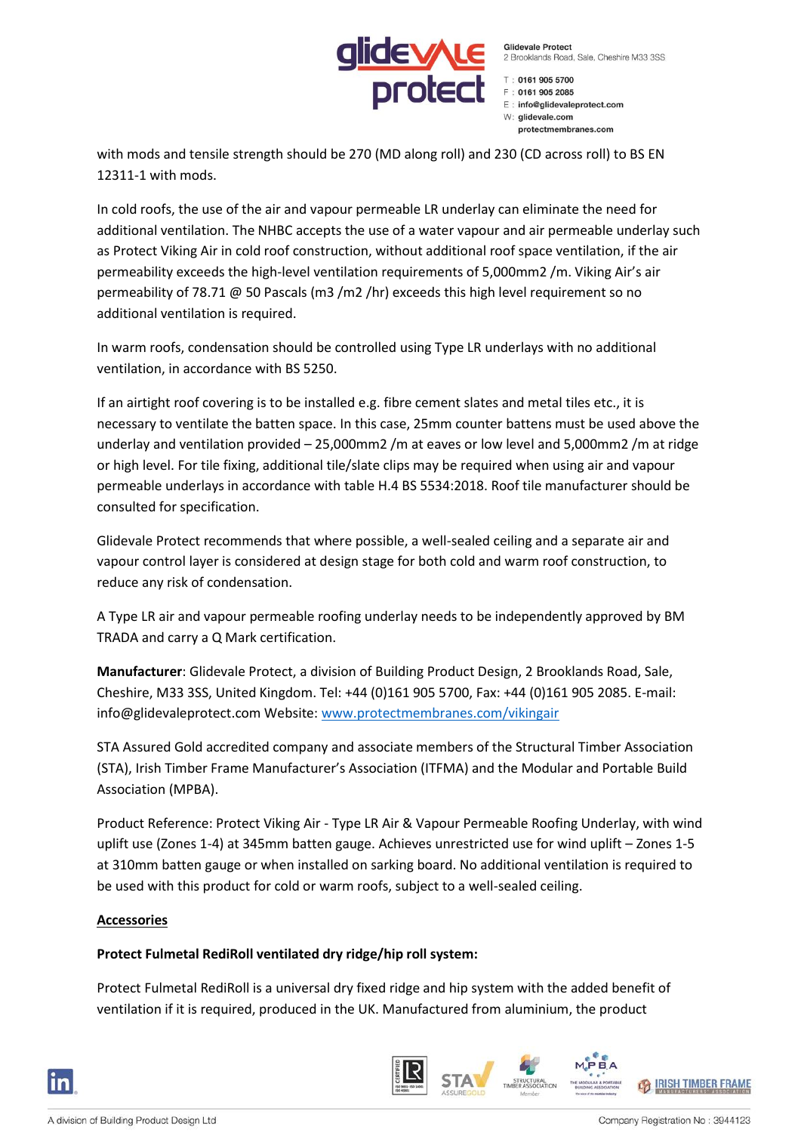

**Glidevale Protect** 2 Brooklands Road, Sale, Cheshire M33 3SS

 $T: 0161 905 5700$  $F : 01619052085$ E: info@glidevaleprotect.com W: alidevale.com protectmembranes.com

with mods and tensile strength should be 270 (MD along roll) and 230 (CD across roll) to BS EN 12311-1 with mods.

In cold roofs, the use of the air and vapour permeable LR underlay can eliminate the need for additional ventilation. The NHBC accepts the use of a water vapour and air permeable underlay such as Protect Viking Air in cold roof construction, without additional roof space ventilation, if the air permeability exceeds the high-level ventilation requirements of 5,000mm2 /m. Viking Air's air permeability of 78.71 @ 50 Pascals (m3 /m2 /hr) exceeds this high level requirement so no additional ventilation is required.

In warm roofs, condensation should be controlled using Type LR underlays with no additional ventilation, in accordance with BS 5250.

If an airtight roof covering is to be installed e.g. fibre cement slates and metal tiles etc., it is necessary to ventilate the batten space. In this case, 25mm counter battens must be used above the underlay and ventilation provided – 25,000mm2 /m at eaves or low level and 5,000mm2 /m at ridge or high level. For tile fixing, additional tile/slate clips may be required when using air and vapour permeable underlays in accordance with table H.4 BS 5534:2018. Roof tile manufacturer should be consulted for specification.

Glidevale Protect recommends that where possible, a well-sealed ceiling and a separate air and vapour control layer is considered at design stage for both cold and warm roof construction, to reduce any risk of condensation.

A Type LR air and vapour permeable roofing underlay needs to be independently approved by BM TRADA and carry a Q Mark certification.

**Manufacturer**: Glidevale Protect, a division of Building Product Design, 2 Brooklands Road, Sale, Cheshire, M33 3SS, United Kingdom. Tel: +44 (0)161 905 5700, Fax: +44 (0)161 905 2085. E-mail: info@glidevaleprotect.com Website: [www.protectmembranes.com/vikingair](http://www.protectmembranes.com/vikingair)

STA Assured Gold accredited company and associate members of the Structural Timber Association (STA), Irish Timber Frame Manufacturer's Association (ITFMA) and the Modular and Portable Build Association (MPBA).

Product Reference: Protect Viking Air - Type LR Air & Vapour Permeable Roofing Underlay, with wind uplift use (Zones 1-4) at 345mm batten gauge. Achieves unrestricted use for wind uplift – Zones 1-5 at 310mm batten gauge or when installed on sarking board. No additional ventilation is required to be used with this product for cold or warm roofs, subject to a well-sealed ceiling.

#### **Accessories**

#### **Protect Fulmetal RediRoll ventilated dry ridge/hip roll system:**

Protect Fulmetal RediRoll is a universal dry fixed ridge and hip system with the added benefit of ventilation if it is required, produced in the UK. Manufactured from aluminium, the product